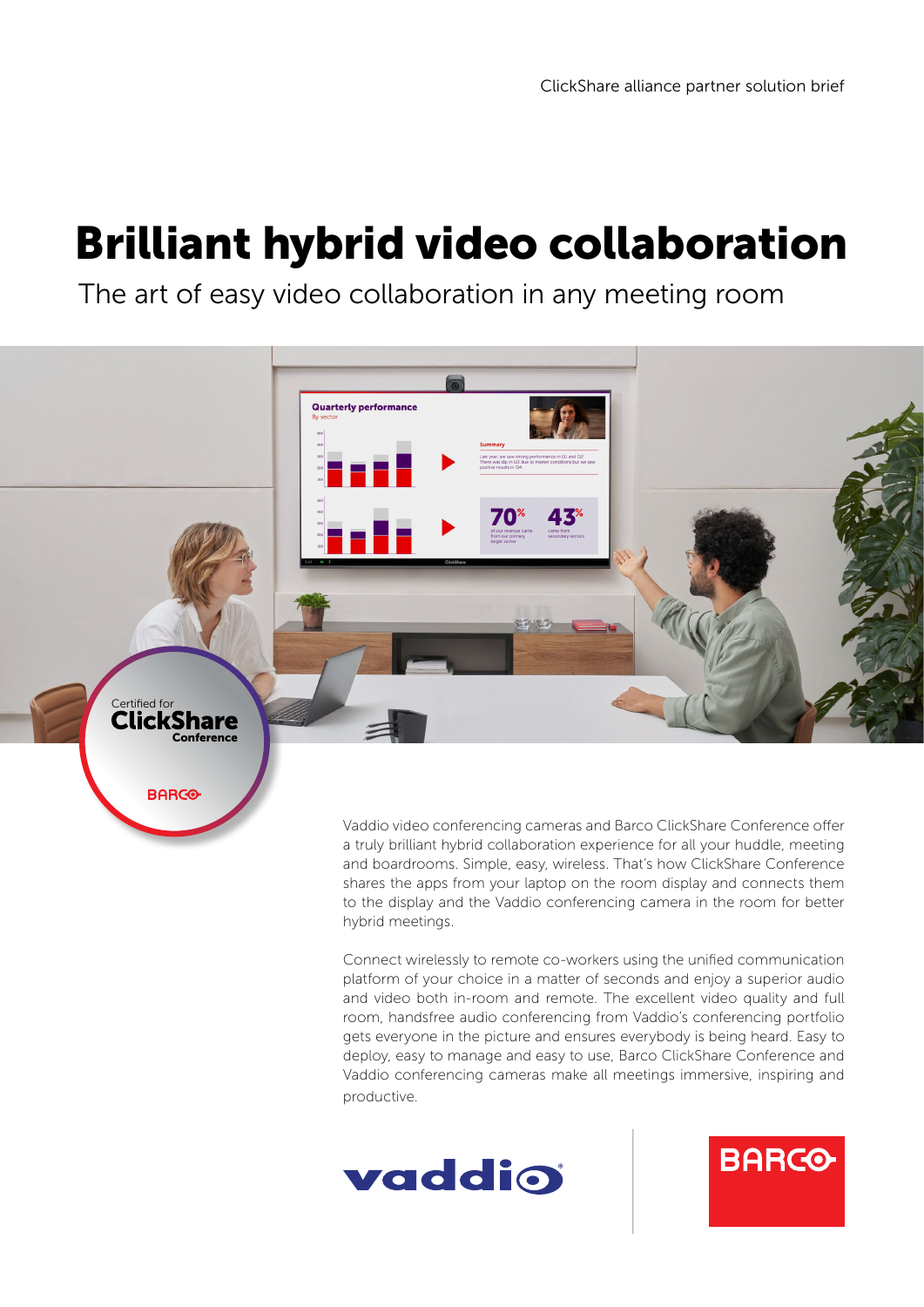## Brilliant hybrid video collaboration

The art of easy video collaboration in any meeting room



Vaddio video conferencing cameras and Barco ClickShare Conference offer a truly brilliant hybrid collaboration experience for all your huddle, meeting and boardrooms. Simple, easy, wireless. That's how ClickShare Conference shares the apps from your laptop on the room display and connects them to the display and the Vaddio conferencing camera in the room for better hybrid meetings.

Connect wirelessly to remote co-workers using the unified communication platform of your choice in a matter of seconds and enjoy a superior audio and video both in-room and remote. The excellent video quality and full room, handsfree audio conferencing from Vaddio's conferencing portfolio gets everyone in the picture and ensures everybody is being heard. Easy to deploy, easy to manage and easy to use, Barco ClickShare Conference and Vaddio conferencing cameras make all meetings immersive, inspiring and productive.



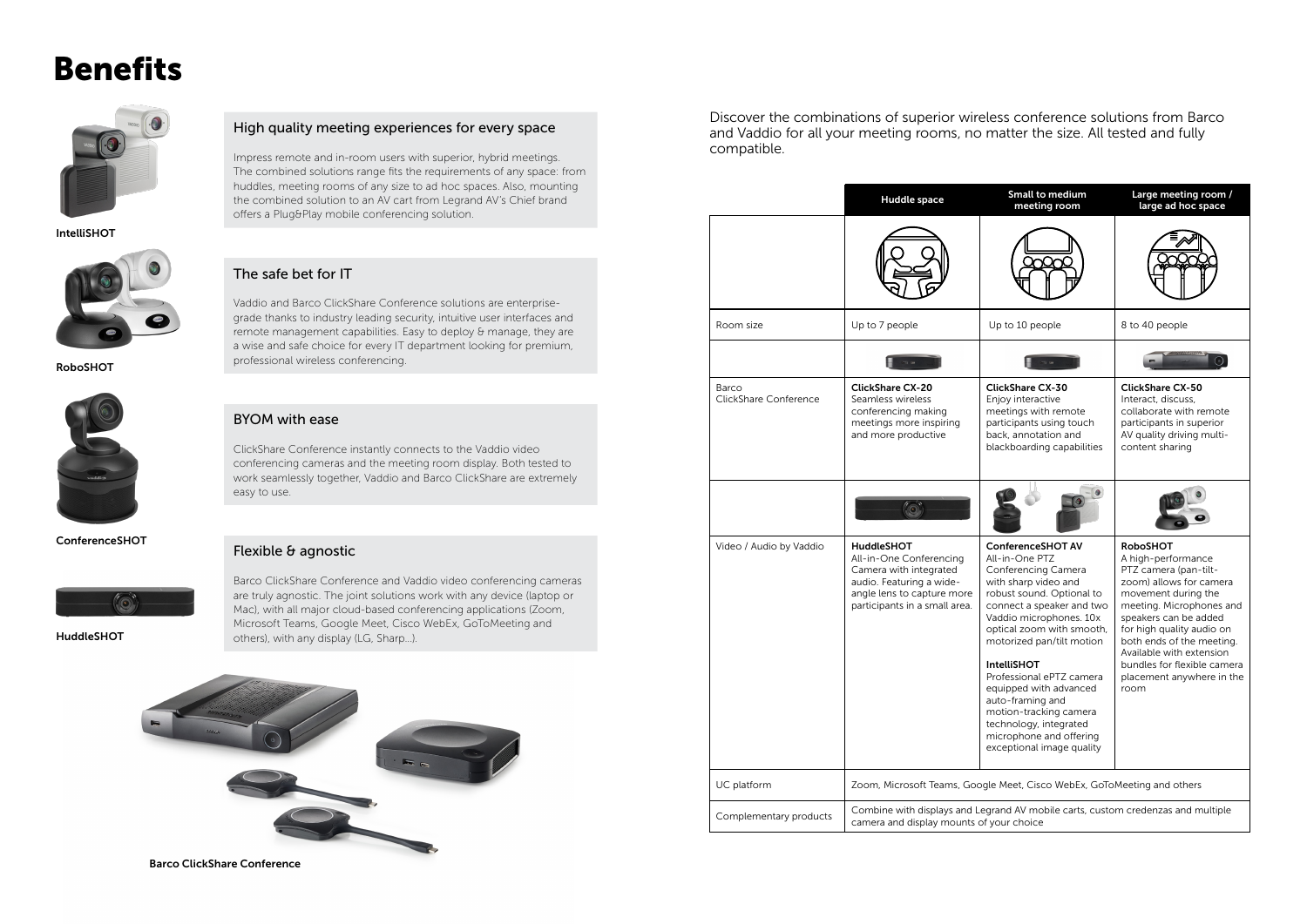### Benefits



### High quality meeting experiences for every space

Impress remote and in-room users with superior, hybrid meetings. The combined solutions range fits the requirements of any space: from huddles, meeting rooms of any size to ad hoc spaces. Also, mounting the combined solution to an AV cart from Legrand AV's Chief brand offers a Plug&Play mobile conferencing solution.

#### The safe bet for IT

Vaddio and Barco ClickShare Conference solutions are enterprisegrade thanks to industry leading security, intuitive user interfaces and remote management capabilities. Easy to deploy & manage, they are a wise and safe choice for every IT department looking for premium, professional wireless conferencing.

#### BYOM with ease

ClickShare Conference instantly connects to the Vaddio video conferencing cameras and the meeting room display. Both tested to work seamlessly together, Vaddio and Barco ClickShare are extremely easy to use.

### Flexible & agnostic

Barco ClickShare Conference and Vaddio video conferencing cameras are truly agnostic. The joint solutions work with any device (laptop or Mac), with all major cloud-based conferencing applications (Zoom, Microsoft Teams, Google Meet, Cisco WebEx, GoToMeeting and others), with any display (LG, Sharp...).



Discover the combinations of superior wireless conference solutions from Barco and Vaddio for all your meeting rooms, no matter the size. All tested and fully compatible.

Barco ClickShare Conference

|                                | Huddle space                                                                                                                                                      | <b>Small to medium</b><br>meeting room                                                                                                                                                                                                                                                                                                                                                                                                               | Large meeting room /<br>large ad hoc space                                                                                                                                                                                                                                                                                      |
|--------------------------------|-------------------------------------------------------------------------------------------------------------------------------------------------------------------|------------------------------------------------------------------------------------------------------------------------------------------------------------------------------------------------------------------------------------------------------------------------------------------------------------------------------------------------------------------------------------------------------------------------------------------------------|---------------------------------------------------------------------------------------------------------------------------------------------------------------------------------------------------------------------------------------------------------------------------------------------------------------------------------|
|                                |                                                                                                                                                                   |                                                                                                                                                                                                                                                                                                                                                                                                                                                      |                                                                                                                                                                                                                                                                                                                                 |
| Room size                      | Up to 7 people                                                                                                                                                    | Up to 10 people                                                                                                                                                                                                                                                                                                                                                                                                                                      | 8 to 40 people                                                                                                                                                                                                                                                                                                                  |
|                                |                                                                                                                                                                   |                                                                                                                                                                                                                                                                                                                                                                                                                                                      |                                                                                                                                                                                                                                                                                                                                 |
| Barco<br>ClickShare Conference | <b>ClickShare CX-20</b><br>Seamless wireless<br>conferencing making<br>meetings more inspiring<br>and more productive                                             | <b>ClickShare CX-30</b><br>Enjoy interactive<br>meetings with remote<br>participants using touch<br>back, annotation and<br>blackboarding capabilities                                                                                                                                                                                                                                                                                               | <b>ClickShare CX-50</b><br>Interact, discuss,<br>collaborate with remote<br>participants in superior<br>AV quality driving multi-<br>content sharing                                                                                                                                                                            |
|                                |                                                                                                                                                                   |                                                                                                                                                                                                                                                                                                                                                                                                                                                      |                                                                                                                                                                                                                                                                                                                                 |
| Video / Audio by Vaddio        | <b>HuddleSHOT</b><br>All-in-One Conferencing<br>Camera with integrated<br>audio. Featuring a wide-<br>angle lens to capture more<br>participants in a small area. | <b>ConferenceSHOT AV</b><br>All-in-One PTZ<br>Conferencing Camera<br>with sharp video and<br>robust sound. Optional to<br>connect a speaker and two<br>Vaddio microphones. 10x<br>optical zoom with smooth,<br>motorized pan/tilt motion<br><b>IntelliSHOT</b><br>Professional ePTZ camera<br>equipped with advanced<br>auto-framing and<br>motion-tracking camera<br>technology, integrated<br>microphone and offering<br>exceptional image quality | <b>RoboSHOT</b><br>A high-performance<br>PTZ camera (pan-tilt-<br>zoom) allows for camera<br>movement during the<br>meeting. Microphones and<br>speakers can be added<br>for high quality audio on<br>both ends of the meeting.<br>Available with extension<br>bundles for flexible camera<br>placement anywhere in the<br>room |
| UC platform                    | Zoom, Microsoft Teams, Google Meet, Cisco WebEx, GoToMeeting and others                                                                                           |                                                                                                                                                                                                                                                                                                                                                                                                                                                      |                                                                                                                                                                                                                                                                                                                                 |
| Complementary products         | Combine with displays and Legrand AV mobile carts, custom credenzas and multiple<br>camera and display mounts of your choice                                      |                                                                                                                                                                                                                                                                                                                                                                                                                                                      |                                                                                                                                                                                                                                                                                                                                 |

ConferenceSHOT



RoboSHOT



IntelliSHOT



HuddleSHOT